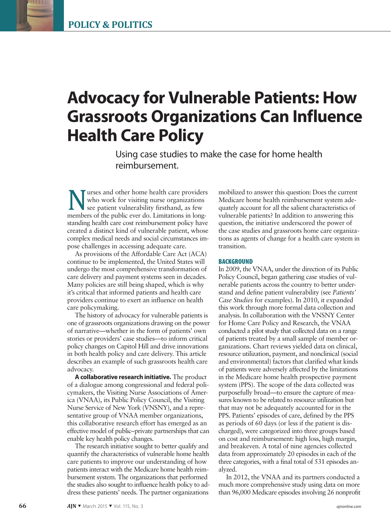# **Advocacy for Vulnerable Patients: How Grassroots Organizations Can Influence Health Care Policy**

Using case studies to make the case for home health reimbursement.

**NUR EXECUTE INTERNATION SET AND SERVING SET SERVIDE SERVIDE SERVIDE SERVIDE SERVIDE SERVIDE SERVIDE SERVIDE SERVIDE SERVIDE SERVIDE SERVIDE SERVIDE SERVIDE SERVIDE SERVIDE SERVIDE SERVIDE SERVIDE SERVIDE SERVIDE SERVIDE S** who work for visiting nurse organizations see patient vulnerability firsthand, as few standing health care cost reimbursement policy have created a distinct kind of vulnerable patient, whose complex medical needs and social circumstances impose challenges in accessing adequate care.

As provisions of the Affordable Care Act (ACA) continue to be implemented, the United States will undergo the most comprehensive transformation of care delivery and payment systems seen in decades. Many policies are still being shaped, which is why it's critical that informed patients and health care providers continue to exert an influence on health care policymaking.

The history of advocacy for vulnerable patients is one of grassroots organizations drawing on the power of narrative—whether in the form of patients' own stories or providers' case studies—to inform critical policy changes on Capitol Hill and drive innovations in both health policy and care delivery. This article describes an example of such grassroots health care advocacy.

**A collaborative research initiative.** The product of a dialogue among congressional and federal policymakers, the Visiting Nurse Associations of America (VNAA), its Public Policy Council, the Visiting Nurse Service of New York (VNSNY), and a representative group of VNAA member organizations, this collaborative research effort has emerged as an effective model of public–private partnerships that can enable key health policy changes.

The research initiative sought to better qualify and quantify the characteristics of vulnerable home health care patients to improve our understanding of how patients interact with the Medicare home health reimbursement system. The organizations that performed the studies also sought to influence health policy to address these patients' needs. The partner organizations

mobilized to answer this question: Does the current Medicare home health reimbursement system adequately account for all the salient characteristics of vulnerable patients? In addition to answering this question, the initiative underscored the power of the case studies and grassroots home care organizations as agents of change for a health care system in transition.

### **BACKGROUND**

In 2009, the VNAA, under the direction of its Public Policy Council, began gathering case studies of vulnerable patients across the country to better understand and define patient vulnerability (see *Patients' Case Studies* for examples). In 2010, it expanded this work through more formal data collection and analysis. In collaboration with the VNSNY Center for Home Care Policy and Research, the VNAA conducted a pilot study that collected data on a range of patients treated by a small sample of member organizations. Chart reviews yielded data on clinical, resource utilization, payment, and nonclinical (social and environmental) factors that clarified what kinds of patients were adversely affected by the limitations in the Medicare home health prospective payment system (PPS). The scope of the data collected was purposefully broad—to ensure the capture of measures known to be related to resource utilization but that may not be adequately accounted for in the PPS. Patients' episodes of care, defined by the PPS as periods of 60 days (or less if the patient is discharged), were categorized into three groups based on cost and reimbursement: high loss, high margin, and breakeven. A total of nine agencies collected data from approximately 20 episodes in each of the three categories, with a final total of 531 episodes analyzed.

In 2012, the VNAA and its partners conducted a much more comprehensive study using data on more than 96,000 Medicare episodes involving 26 nonprofit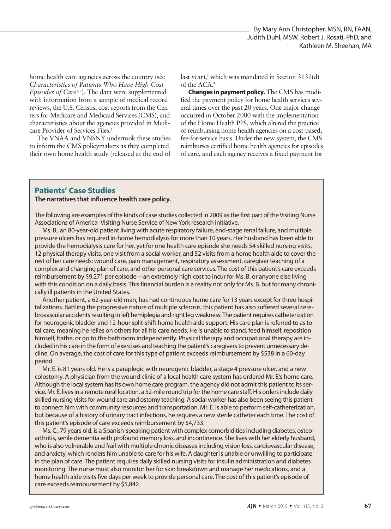home health care agencies across the country (see *Characteristics of Patients Who Have High-Cost Episodes of Care*<sup>1, 2</sup>). The data were supplemented with information from a sample of medical record reviews, the U.S. Census, cost reports from the Centers for Medicare and Medicaid Services (CMS), and characteristics about the agencies provided in Medicare Provider of Services Files.<sup>1</sup>

The VNAA and VNSNY undertook these studies to inform the CMS policymakers as they completed their own home health study (released at the end of

last year),<sup>3</sup> which was mandated in Section 3131(d) of the ACA.4

**Changes in payment policy.** The CMS has modified the payment policy for home health services several times over the past 20 years. One major change occurred in October 2000 with the implementation of the Home Health PPS, which altered the practice of reimbursing home health agencies on a cost-based, fee-for-service basis. Under the new system, the CMS reimburses certified home health agencies for episodes of care, and each agency receives a fixed payment for

### **Patients' Case Studies**

### **The narratives that influence health care policy.**

The following are examples of the kinds of case studies collected in 2009 as the first part of the Visiting Nurse Associations of America–Visiting Nurse Service of New York research initiative.

Ms. B., an 80-year-old patient living with acute respiratory failure, end-stage renal failure, and multiple pressure ulcers has required in-home hemodialysis for more than 10 years. Her husband has been able to provide the hemodialysis care for her, yet for one health care episode she needs 54 skilled nursing visits, 12 physical therapy visits, one visit from a social worker, and 52 visits from a home health aide to cover the rest of her care needs: wound care, pain management, respiratory assessment, caregiver teaching of a complex and changing plan of care, and other personal care services. The cost of this patient's care exceeds reimbursement by \$9,271 per episode—an extremely high cost to incur for Ms. B. or anyone else living with this condition on a daily basis. This financial burden is a reality not only for Ms. B. but for many chronically ill patients in the United States.

Another patient, a 62-year-old man, has had continuous home care for 13 years except for three hospitalizations. Battling the progressive nature of multiple sclerosis, this patient has also suffered several cerebrovascular accidents resulting in left hemiplegia and right leg weakness. The patient requires catheterization for neurogenic bladder and 12-hour split-shift home health aide support. His care plan is referred to as total care, meaning he relies on others for all his care needs. He is unable to stand, feed himself, reposition himself, bathe, or go to the bathroom independently. Physical therapy and occupational therapy are included in his care in the form of exercises and teaching the patient's caregivers to prevent unnecessary decline. On average, the cost of care for this type of patient exceeds reimbursement by \$538 in a 60-day period.

Mr. E. is 81 years old. He is a paraplegic with neurogenic bladder, a stage 4 pressure ulcer, and a new colostomy. A physician from the wound clinic of a local health care system has ordered Mr. E.'s home care. Although the local system has its own home care program, the agency did not admit this patient to its service. Mr. E. lives in a remote rural location, a 52-mile round trip for the home care staff. His orders include daily skilled nursing visits for wound care and ostomy teaching. A social worker has also been seeing this patient to connect him with community resources and transportation. Mr. E. is able to perform self-catheterization, but because of a history of urinary tract infections, he requires a new sterile catheter each time. The cost of this patient's episode of care exceeds reimbursement by \$4,733.

Ms. C., 79 years old, is a Spanish-speaking patient with complex comorbidities including diabetes, osteoarthritis, senile dementia with profound memory loss, and incontinence. She lives with her elderly husband, who is also vulnerable and frail with multiple chronic diseases including vision loss, cardiovascular disease, and anxiety, which renders him unable to care for his wife. A daughter is unable or unwilling to participate in the plan of care. The patient requires daily skilled nursing visits for insulin administration and diabetes monitoring. The nurse must also monitor her for skin breakdown and manage her medications, and a home health aide visits five days per week to provide personal care. The cost of this patient's episode of care exceeds reimbursement by \$5,842.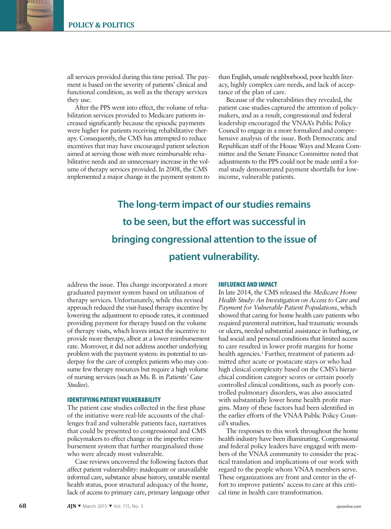all services provided during this time period. The payment is based on the severity of patients' clinical and functional condition, as well as the therapy services they use.

After the PPS went into effect, the volume of rehabilitation services provided to Medicare patients increased significantly because the episodic payments were higher for patients receiving rehabilitative therapy. Consequently, the CMS has attempted to reduce incentives that may have encouraged patient selection aimed at serving those with more reimbursable rehabilitative needs and an unnecessary increase in the volume of therapy services provided. In 2008, the CMS implemented a major change in the payment system to

than English, unsafe neighborhood, poor health literacy, highly complex care needs, and lack of acceptance of the plan of care.

Because of the vulnerabilities they revealed, the patient case studies captured the attention of policymakers, and as a result, congressional and federal leadership encouraged the VNAA's Public Policy Council to engage in a more formalized and comprehensive analysis of the issue. Both Democratic and Republican staff of the House Ways and Means Committee and the Senate Finance Committee noted that adjustments to the PPS could not be made until a formal study demonstrated payment shortfalls for lowincome, vulnerable patients.

# **The long-term impact of our studies remains to be seen, but the effort was successful in bringing congressional attention to the issue of patient vulnerability.**

address the issue. This change incorporated a more graduated payment system based on utilization of therapy services. Unfortunately, while this revised approach reduced the visit-based therapy incentive by lowering the adjustment to episode rates, it continued providing payment for therapy based on the volume of therapy visits, which leaves intact the incentive to provide more therapy, albeit at a lower reimbursement rate. Moreover, it did not address another underlying problem with the payment system: its potential to underpay for the care of complex patients who may consume few therapy resources but require a high volume of nursing services (such as Ms. B. in *Patients' Case Studies*).

### IDENTIFYING PATIENT VULNERABILITY

The patient case studies collected in the first phase of the initiative were real-life accounts of the challenges frail and vulnerable patients face, narratives that could be presented to congressional and CMS policymakers to effect change in the imperfect reimbursement system that further marginalized those who were already most vulnerable.

Case reviews uncovered the following factors that affect patient vulnerability: inadequate or unavailable informal care, substance abuse history, unstable mental health status, poor structural adequacy of the home, lack of access to primary care, primary language other

### INFLUENCE AND IMPACT

In late 2014, the CMS released the *Medicare Home Health Study: An Investigation on Access to Care and Payment for Vulnerable Patient Populations*, which showed that caring for home health care patients who required parenteral nutrition, had traumatic wounds or ulcers, needed substantial assistance in bathing, or had social and personal conditions that limited access to care resulted in lower profit margins for home health agencies.<sup>3</sup> Further, treatment of patients admitted after acute or postacute stays or who had high clinical complexity based on the CMS's hierarchical condition category scores or certain poorly controlled clinical conditions, such as poorly controlled pulmonary disorders, was also associated with substantially lower home health profit margins. Many of these factors had been identified in the earlier efforts of the VNAA Public Policy Council's studies.

The responses to this work throughout the home health industry have been illuminating. Congressional and federal policy leaders have engaged with members of the VNAA community to consider the practical translation and implications of our work with regard to the people whom VNAA members serve. These organizations are front and center in the effort to improve patients' access to care at this critical time in health care transformation.